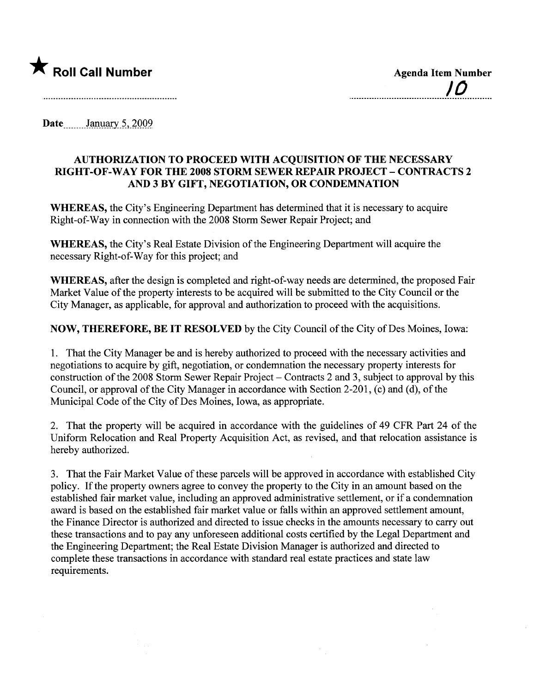

Date January 5, 2009

## AUTHORIZATION TO PROCEED WITH ACQUISITION OF THE NECESSARY RIGHT -OF-WAY FOR THE 2008 STORM SEWER REPAIR PROJECT - CONTRACTS 2 AND 3 BY GIFT, NEGOTIATION, OR CONDEMNATION

WHEREAS, the City's Engineering Department has determined that it is necessary to acquire Right-of-Way in connection with the 2008 Storm Sewer Repair Project; and

WHEREAS, the City's Real Estate Division of the Engineering Department will acquire the necessary Right-of-Way for this project; and

WHEREAS, after the design is completed and right-of-way needs are determined, the proposed Fair Market Value of the property interests to be acquired will be submitted to the City Council or the City Manager, as applicable, for approval and authorization to proceed with the acquisitions.

NOW, THEREFORE, BE IT RESOLVED by the City Council of the City of Des Moines, Iowa:

1. That the City Manager be and is hereby authorized to proceed with the necessary activities and negotiations to acquire by gift, negotiation, or condemnation the necessary property interests for construction of the 2008 Storm Sewer Repair Project – Contracts 2 and 3, subject to approval by this Council, or approval of the City Manager in accordance with Section 2-201, (c) and (d), of the Municipal Code of the City of Des Moines, Iowa, as appropriate.

2. That the property will be acquired in accordance with the guidelines of 49 CFR Part 24 of the Uniform Relocation and Real Property Acquisition Act, as revised, and that relocation assistance is hereby authorized.

3. That the Fair Market Value of these parcels will be approved in accordance with established City policy. If the property owners agree to convey the property to the City in an amount based on the established fair market value, including an approved administrative settlement, or if a condemnation award is based on the established fair market value or falls within an approved settlement amount, the Finance Director is authorized and directed to issue checks in the amounts necessary to carry out these transactions and to pay any unforeseen additional costs certified by the Legal Deparment and the Engineering Department; the Real Estate Division Manager is authorized and directed to complete these transactions in accordance with standard real estate practices and state law requirements.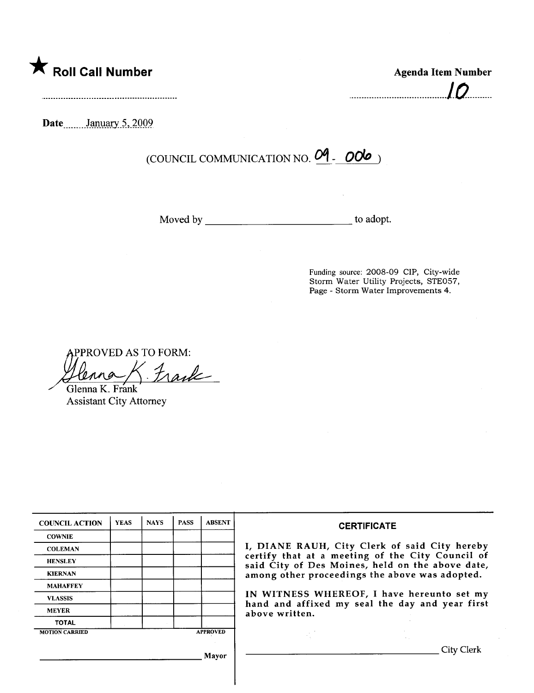

| <b>Agenda Item Number</b> |  |
|---------------------------|--|
| 10                        |  |

Date January 5, 2009

(COUNCIL COMMUNICATION NO.  $04 - 006$ )

Moved by to adopt.

Funding source: 2008-09 CIP, City-wide Storm Water Utility Projects, STE057, Page - Storm Water Improvements 4.

PPROVED AS TO FORM:

bAS Henna K. Frank

Assistant City Attorney

| <b>COUNCIL ACTION</b> | <b>YEAS</b> | <b>NAYS</b> | <b>PASS</b> | <b>ABSENT</b>   | <b>CERTIFICATE</b>                                                                                   |
|-----------------------|-------------|-------------|-------------|-----------------|------------------------------------------------------------------------------------------------------|
| <b>COWNIE</b>         |             |             |             |                 |                                                                                                      |
| <b>COLEMAN</b>        |             |             |             |                 | I, DIANE RAUH, City Clerk of said City hereby                                                        |
| <b>HENSLEY</b>        |             |             |             |                 | certify that at a meeting of the City Council of<br>said City of Des Moines, held on the above date, |
| <b>KIERNAN</b>        |             |             |             |                 | among other proceedings the above was adopted.                                                       |
| <b>MAHAFFEY</b>       |             |             |             |                 |                                                                                                      |
| <b>VLASSIS</b>        |             |             |             |                 | IN WITNESS WHEREOF, I have hereunto set my<br>hand and affixed my seal the day and year first        |
| <b>MEYER</b>          |             |             |             |                 | above written.                                                                                       |
| <b>TOTAL</b>          |             |             |             |                 |                                                                                                      |
| <b>MOTION CARRIED</b> |             |             |             | <b>APPROVED</b> |                                                                                                      |
|                       |             |             |             | Mavor           | City Clerk                                                                                           |